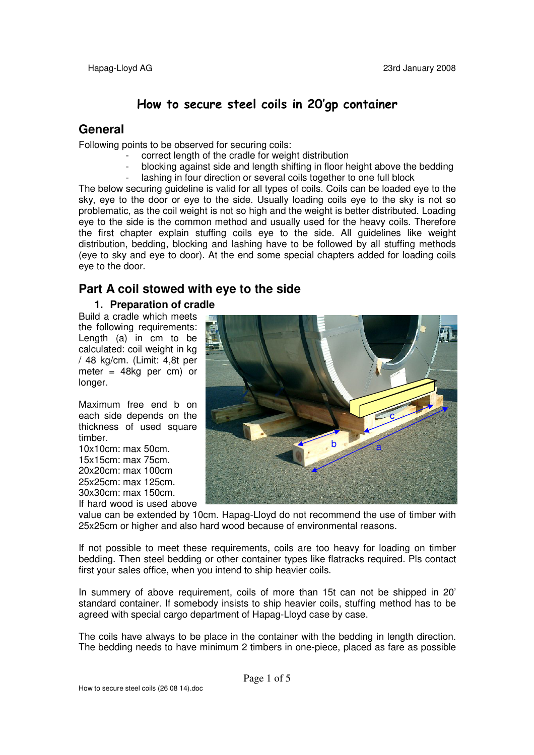# **How to secure steel coils in 20'gp container**

## **General**

Following points to be observed for securing coils:

- correct length of the cradle for weight distribution
- blocking against side and length shifting in floor height above the bedding lashing in four direction or several coils together to one full block

The below securing guideline is valid for all types of coils. Coils can be loaded eye to the sky, eye to the door or eye to the side. Usually loading coils eye to the sky is not so problematic, as the coil weight is not so high and the weight is better distributed. Loading eye to the side is the common method and usually used for the heavy coils. Therefore the first chapter explain stuffing coils eye to the side. All guidelines like weight distribution, bedding, blocking and lashing have to be followed by all stuffing methods (eye to sky and eye to door). At the end some special chapters added for loading coils eye to the door.

## **Part A coil stowed with eye to the side**

### **1. Preparation of cradle**

Build a cradle which meets the following requirements: Length (a) in cm to be calculated: coil weight in kg / 48 kg/cm. (Limit: 4,8t per meter = 48kg per cm) or longer.

Maximum free end b on each side depends on the thickness of used square timber.

10x10cm: max 50cm. 15x15cm: max 75cm. 20x20cm: max 100cm 25x25cm: max 125cm. 30x30cm: max 150cm. If hard wood is used above



value can be extended by 10cm. Hapag-Lloyd do not recommend the use of timber with 25x25cm or higher and also hard wood because of environmental reasons.

If not possible to meet these requirements, coils are too heavy for loading on timber bedding. Then steel bedding or other container types like flatracks required. Pls contact first your sales office, when you intend to ship heavier coils.

In summery of above requirement, coils of more than 15t can not be shipped in 20' standard container. If somebody insists to ship heavier coils, stuffing method has to be agreed with special cargo department of Hapag-Lloyd case by case.

The coils have always to be place in the container with the bedding in length direction. The bedding needs to have minimum 2 timbers in one-piece, placed as fare as possible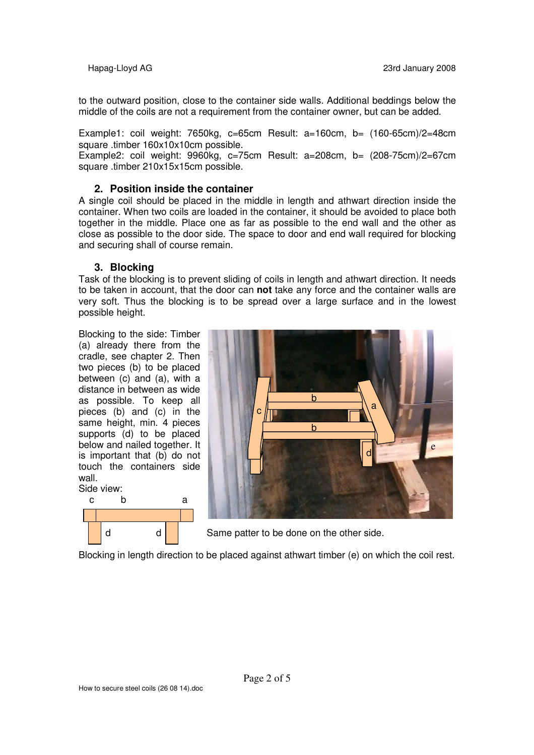to the outward position, close to the container side walls. Additional beddings below the middle of the coils are not a requirement from the container owner, but can be added.

Example1: coil weight: 7650kg, c=65cm Result: a=160cm, b= (160-65cm)/2=48cm square .timber 160x10x10cm possible.

Example2: coil weight: 9960kg, c=75cm Result: a=208cm, b= (208-75cm)/2=67cm square .timber 210x15x15cm possible.

#### **2. Position inside the container**

A single coil should be placed in the middle in length and athwart direction inside the container. When two coils are loaded in the container, it should be avoided to place both together in the middle. Place one as far as possible to the end wall and the other as close as possible to the door side. The space to door and end wall required for blocking and securing shall of course remain.

#### **3. Blocking**

Task of the blocking is to prevent sliding of coils in length and athwart direction. It needs to be taken in account, that the door can **not** take any force and the container walls are very soft. Thus the blocking is to be spread over a large surface and in the lowest possible height.

Blocking to the side: Timber (a) already there from the cradle, see chapter 2. Then two pieces (b) to be placed between (c) and (a), with a distance in between as wide as possible. To keep all pieces (b) and (c) in the same height, min. 4 pieces supports (d) to be placed below and nailed together. It is important that (b) do not touch the containers side wall.





d d d Game patter to be done on the other side.

Blocking in length direction to be placed against athwart timber (e) on which the coil rest.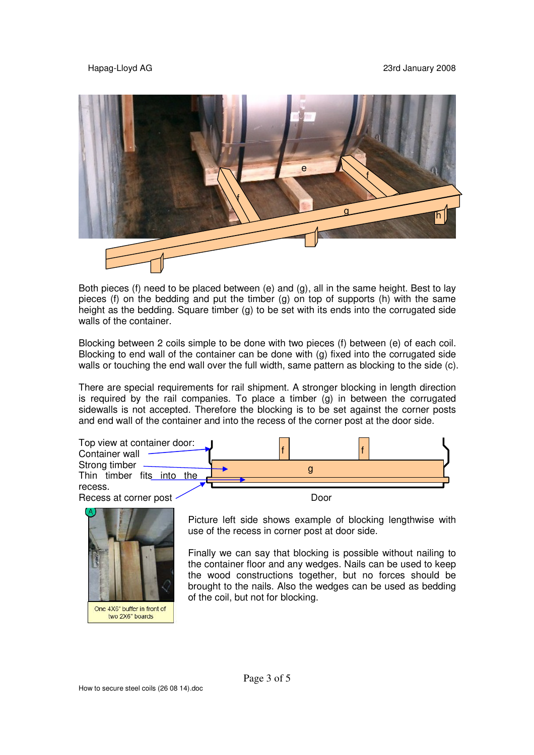

Both pieces (f) need to be placed between (e) and (g), all in the same height. Best to lay pieces (f) on the bedding and put the timber (g) on top of supports (h) with the same height as the bedding. Square timber (g) to be set with its ends into the corrugated side walls of the container.

Blocking between 2 coils simple to be done with two pieces (f) between (e) of each coil. Blocking to end wall of the container can be done with (g) fixed into the corrugated side walls or touching the end wall over the full width, same pattern as blocking to the side (c).

There are special requirements for rail shipment. A stronger blocking in length direction is required by the rail companies. To place a timber  $(q)$  in between the corrugated sidewalls is not accepted. Therefore the blocking is to be set against the corner posts and end wall of the container and into the recess of the corner post at the door side.





Picture left side shows example of blocking lengthwise with use of the recess in corner post at door side.

Finally we can say that blocking is possible without nailing to the container floor and any wedges. Nails can be used to keep the wood constructions together, but no forces should be brought to the nails. Also the wedges can be used as bedding of the coil, but not for blocking.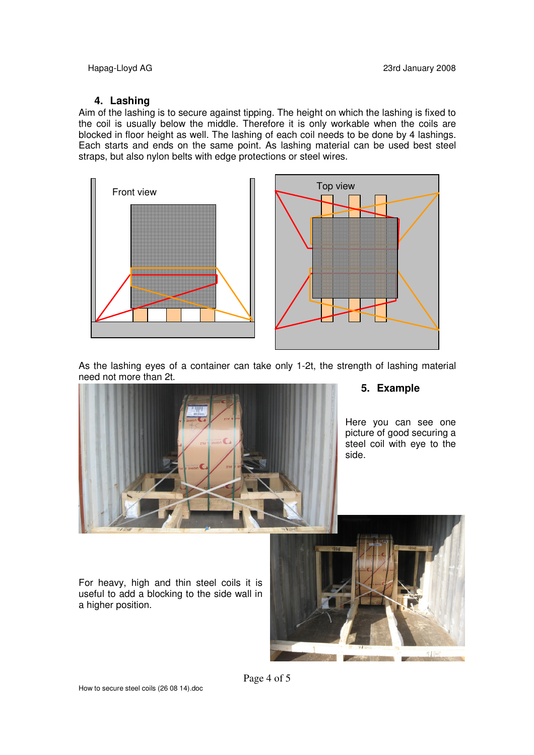### **4. Lashing**

Aim of the lashing is to secure against tipping. The height on which the lashing is fixed to the coil is usually below the middle. Therefore it is only workable when the coils are blocked in floor height as well. The lashing of each coil needs to be done by 4 lashings. Each starts and ends on the same point. As lashing material can be used best steel straps, but also nylon belts with edge protections or steel wires.





As the lashing eyes of a container can take only 1-2t, the strength of lashing material need not more than 2t.



### **5. Example**

Here you can see one picture of good securing a steel coil with eye to the side.

For heavy, high and thin steel coils it is useful to add a blocking to the side wall in a higher position.